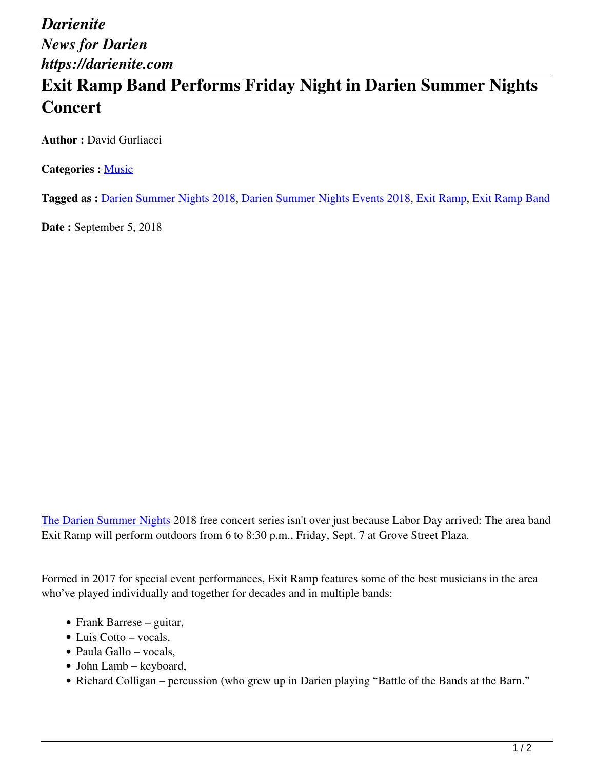*Darienite News for Darien https://darienite.com*

## **Exit Ramp Band Performs Friday Night in Darien Summer Nights Concert**

**Author :** David Gurliacci

**Categories :** [Music](https://darienite.com/category/arts-entertainment/music)

**Tagged as :** Darien Summer Nights 2018, Darien Summer Nights Events 2018, Exit Ramp, Exit Ramp Band

**Date :** September 5, 2018

The Darien Summer Nights 2018 free concert series isn't over just because Labor Day arrived: The area band Exit Ramp will perform outdoors from 6 to 8:30 p.m., Friday, Sept. 7 at Grove Street Plaza.

Formed in 2017 for special event performances, Exit Ramp features some of the best musicians in the area who've played individually and together for decades and in multiple bands:

- Frank Barrese guitar,
- Luis Cotto vocals,
- Paula Gallo vocals,
- John Lamb keyboard,
- Richard Colligan percussion (who grew up in Darien playing "Battle of the Bands at the Barn."